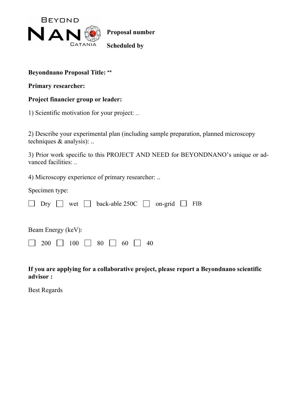

## **Beyondnano Proposal Title: ""**

**Primary researcher:**

## **Project financier group or leader:**

1) Scientific motivation for your project: ...

2) Describe your experimental plan (including sample preparation, planned microscopy techniques & analysis): ..

3) Prior work specific to this PROJECT AND NEED for BEYONDNANO's unique or advanced facilities:

4) Microscopy experience of primary researcher: ..

Specimen type:

|                    |                                                                                    |  |  |  |  |  |  |  |  | $\Box$ Dry $\Box$ wet $\Box$ back-able 250C $\Box$ on-grid $\Box$ FIB |  |  |
|--------------------|------------------------------------------------------------------------------------|--|--|--|--|--|--|--|--|-----------------------------------------------------------------------|--|--|
| Beam Energy (keV): |                                                                                    |  |  |  |  |  |  |  |  |                                                                       |  |  |
|                    | $\begin{array}{ c c c c c c c c c } \hline \end{array}$ 200 100 100 30 10 60 10 40 |  |  |  |  |  |  |  |  |                                                                       |  |  |

**If you are applying for a collaborative project, please report a Beyondnano scientific advisor :** 

Best Regards